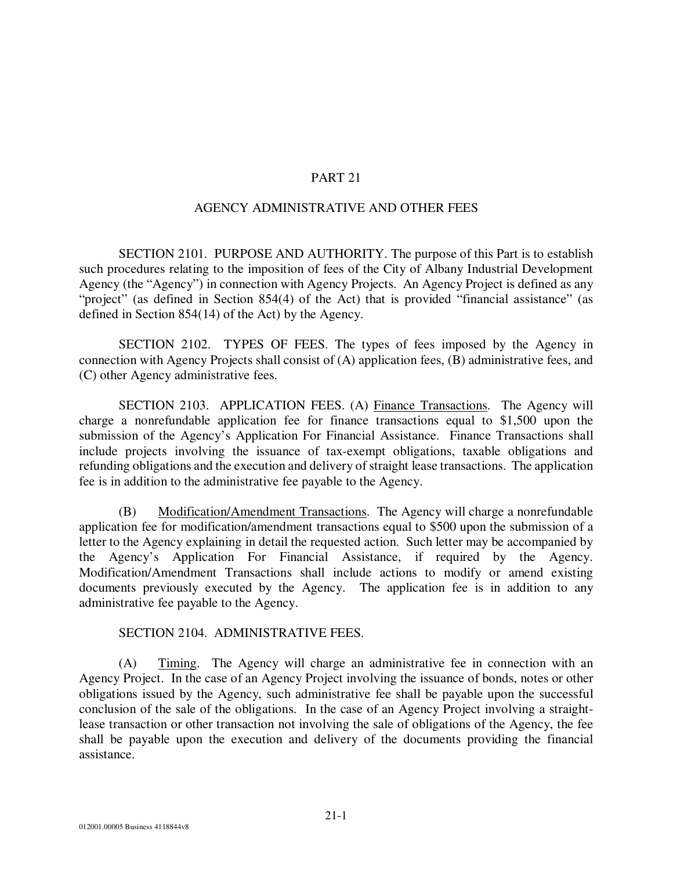## PART 21

## AGENCY ADMINISTRATIVE AND OTHER FEES

SECTION 2101. PURPOSE AND AUTHORITY. The purpose of this Part is to establish such procedures relating to the imposition of fees of the City of Albany Industrial Development Agency (the "Agency") in connection with Agency Projects. An Agency Project is defined as any "project" (as defined in Section 854(4) of the Act) that is provided "financial assistance" (as defined in Section 854(14) of the Act) by the Agency.

SECTION 2102. TYPES OF FEES. The types of fees imposed by the Agency in connection with Agency Projects shall consist of (A) application fees, (B) administrative fees, and (C) other Agency administrative fees.

SECTION 2103. APPLICATION FEES. (A) Finance Transactions. The Agency will charge a nonrefundable application fee for finance transactions equal to \$1,500 upon the submission of the Agency's Application For Financial Assistance. Finance Transactions shall include projects involving the issuance of tax-exempt obligations, taxable obligations and refunding obligations and the execution and delivery of straight lease transactions. The application fee is in addition to the administrative fee payable to the Agency.

(B) Modification/Amendment Transactions. The Agency will charge a nonrefundable application fee for modification/amendment transactions equal to \$500 upon the submission of a letter to the Agency explaining in detail the requested action. Such letter may be accompanied by the Agency's Application For Financial Assistance, if required by the Agency. Modification/Amendment Transactions shall include actions to modify or amend existing documents previously executed by the Agency. The application fee is in addition to any administrative fee payable to the Agency.

#### SECTION 2104. ADMINISTRATIVE FEES.

(A) Timing. The Agency will charge an administrative fee in connection with an Agency Project. In the case of an Agency Project involving the issuance of bonds, notes or other obligations issued by the Agency, such administrative fee shall be payable upon the successful conclusion of the sale of the obligations. In the case of an Agency Project involving a straightlease transaction or other transaction not involving the sale of obligations of the Agency, the fee shall be payable upon the execution and delivery of the documents providing the financial assistance.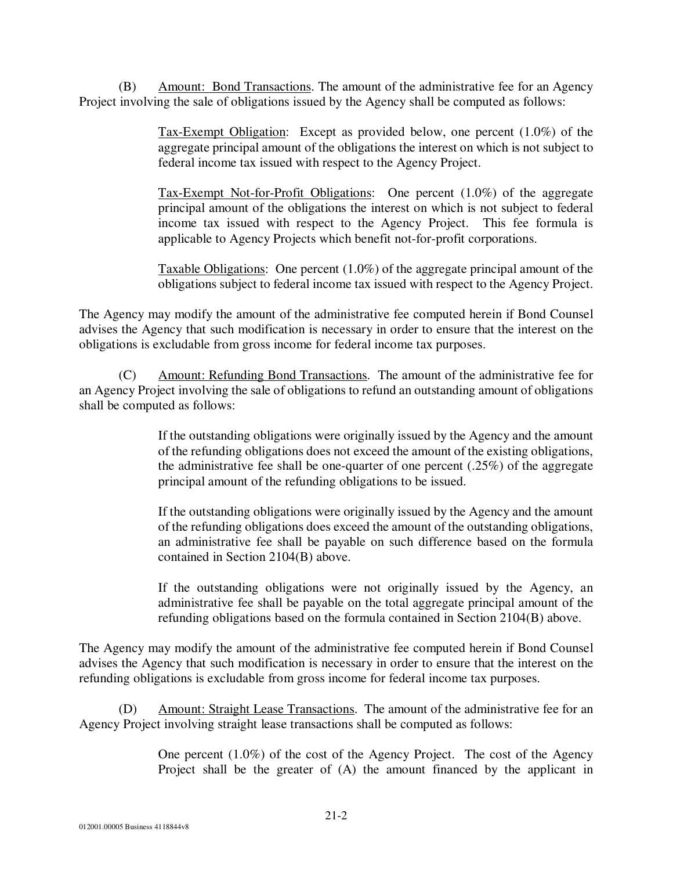(B) Amount: Bond Transactions. The amount of the administrative fee for an Agency Project involving the sale of obligations issued by the Agency shall be computed as follows:

> Tax-Exempt Obligation: Except as provided below, one percent (1.0%) of the aggregate principal amount of the obligations the interest on which is not subject to federal income tax issued with respect to the Agency Project.

> Tax-Exempt Not-for-Profit Obligations: One percent (1.0%) of the aggregate principal amount of the obligations the interest on which is not subject to federal income tax issued with respect to the Agency Project. This fee formula is applicable to Agency Projects which benefit not-for-profit corporations.

> Taxable Obligations: One percent (1.0%) of the aggregate principal amount of the obligations subject to federal income tax issued with respect to the Agency Project.

The Agency may modify the amount of the administrative fee computed herein if Bond Counsel advises the Agency that such modification is necessary in order to ensure that the interest on the obligations is excludable from gross income for federal income tax purposes.

(C) Amount: Refunding Bond Transactions. The amount of the administrative fee for an Agency Project involving the sale of obligations to refund an outstanding amount of obligations shall be computed as follows:

> If the outstanding obligations were originally issued by the Agency and the amount of the refunding obligations does not exceed the amount of the existing obligations, the administrative fee shall be one-quarter of one percent (.25%) of the aggregate principal amount of the refunding obligations to be issued.

> If the outstanding obligations were originally issued by the Agency and the amount of the refunding obligations does exceed the amount of the outstanding obligations, an administrative fee shall be payable on such difference based on the formula contained in Section 2104(B) above.

> If the outstanding obligations were not originally issued by the Agency, an administrative fee shall be payable on the total aggregate principal amount of the refunding obligations based on the formula contained in Section 2104(B) above.

The Agency may modify the amount of the administrative fee computed herein if Bond Counsel advises the Agency that such modification is necessary in order to ensure that the interest on the refunding obligations is excludable from gross income for federal income tax purposes.

(D) Amount: Straight Lease Transactions. The amount of the administrative fee for an Agency Project involving straight lease transactions shall be computed as follows:

> One percent (1.0%) of the cost of the Agency Project. The cost of the Agency Project shall be the greater of (A) the amount financed by the applicant in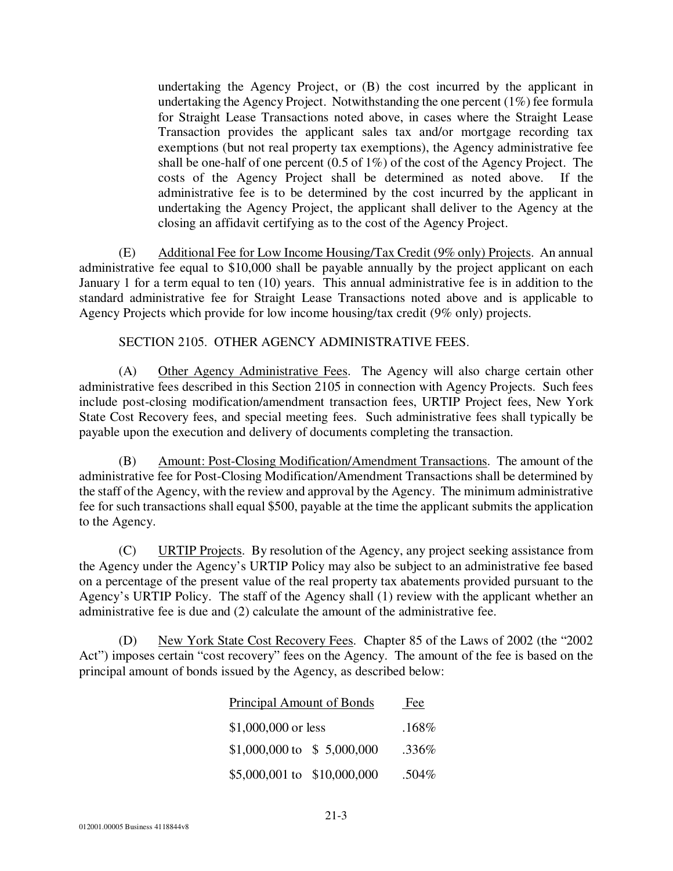undertaking the Agency Project, or (B) the cost incurred by the applicant in undertaking the Agency Project. Notwithstanding the one percent (1%) fee formula for Straight Lease Transactions noted above, in cases where the Straight Lease Transaction provides the applicant sales tax and/or mortgage recording tax exemptions (but not real property tax exemptions), the Agency administrative fee shall be one-half of one percent (0.5 of 1%) of the cost of the Agency Project. The costs of the Agency Project shall be determined as noted above. If the administrative fee is to be determined by the cost incurred by the applicant in undertaking the Agency Project, the applicant shall deliver to the Agency at the closing an affidavit certifying as to the cost of the Agency Project.

(E) Additional Fee for Low Income Housing/Tax Credit (9% only) Projects. An annual administrative fee equal to \$10,000 shall be payable annually by the project applicant on each January 1 for a term equal to ten (10) years. This annual administrative fee is in addition to the standard administrative fee for Straight Lease Transactions noted above and is applicable to Agency Projects which provide for low income housing/tax credit (9% only) projects.

## SECTION 2105. OTHER AGENCY ADMINISTRATIVE FEES.

(A) Other Agency Administrative Fees. The Agency will also charge certain other administrative fees described in this Section 2105 in connection with Agency Projects. Such fees include post-closing modification/amendment transaction fees, URTIP Project fees, New York State Cost Recovery fees, and special meeting fees. Such administrative fees shall typically be payable upon the execution and delivery of documents completing the transaction.

(B) Amount: Post-Closing Modification/Amendment Transactions. The amount of the administrative fee for Post-Closing Modification/Amendment Transactions shall be determined by the staff of the Agency, with the review and approval by the Agency. The minimum administrative fee for such transactions shall equal \$500, payable at the time the applicant submits the application to the Agency.

(C) URTIP Projects. By resolution of the Agency, any project seeking assistance from the Agency under the Agency's URTIP Policy may also be subject to an administrative fee based on a percentage of the present value of the real property tax abatements provided pursuant to the Agency's URTIP Policy. The staff of the Agency shall (1) review with the applicant whether an administrative fee is due and (2) calculate the amount of the administrative fee.

(D) New York State Cost Recovery Fees. Chapter 85 of the Laws of 2002 (the "2002 Act") imposes certain "cost recovery" fees on the Agency. The amount of the fee is based on the principal amount of bonds issued by the Agency, as described below:

| <b>Principal Amount of Bonds</b> |  | Fee   |
|----------------------------------|--|-------|
| \$1,000,000 or less              |  | .168% |
| \$1,000,000 to \$5,000,000       |  | .336% |
| \$5,000,001 to \$10,000,000      |  | .504% |